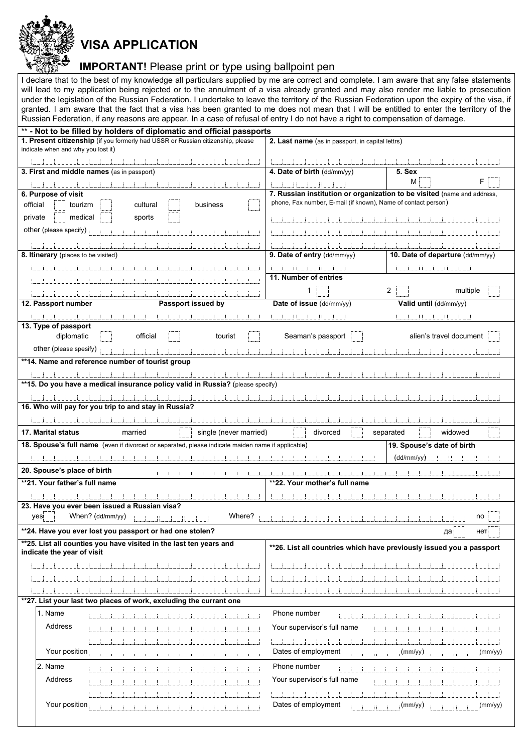| ৣ▓▓▒ VISA APPLICATION                                                                  |
|----------------------------------------------------------------------------------------|
| <b>IMPORTANT!</b> Please print or type using ballpoint pen                             |
| eclare that to the best of my knowledge all particulars supplied by me are correct and |

**RAALERA** 

I declare that to the best of my knowledge all particulars supplied by me are correct and complete. I am aware that any false statements will lead to my application being rejected or to the annulment of a visa already granted and may also render me liable to prosecution under the legislation of the Russian Federation. I undertake to leave the territory of the Russian Federation upon the expiry of the visa, if granted. I am aware that the fact that a visa has been granted to me does not mean that I will be entitled to enter the territory of the Russian Federation, if any reasons are appear. In a case of refusal of entry I do not have a right to compensation of damage.

| ** - Not to be filled by holders of diplomatic and official passports                                                               |                                                               |                                                                         |  |  |  |  |
|-------------------------------------------------------------------------------------------------------------------------------------|---------------------------------------------------------------|-------------------------------------------------------------------------|--|--|--|--|
| 1. Present citizenship (if you formerly had USSR or Russian citizenship, please<br>2. Last name (as in passport, in capital lettrs) |                                                               |                                                                         |  |  |  |  |
| indicate when and why you lost it)                                                                                                  |                                                               |                                                                         |  |  |  |  |
|                                                                                                                                     |                                                               |                                                                         |  |  |  |  |
| 3. First and middle names (as in passport)                                                                                          | 4. Date of birth (dd/mm/yy)                                   | 5. Sex                                                                  |  |  |  |  |
|                                                                                                                                     |                                                               | М                                                                       |  |  |  |  |
|                                                                                                                                     | i i                                                           | 7. Russian institution or organization to be visited (name and address, |  |  |  |  |
| 6. Purpose of visit                                                                                                                 | phone, Fax number, E-mail (if known), Name of contact person) |                                                                         |  |  |  |  |
| official<br>tourizm<br>cultural<br>business                                                                                         |                                                               |                                                                         |  |  |  |  |
| private<br>medical<br>sports                                                                                                        |                                                               |                                                                         |  |  |  |  |
| other (please specify)                                                                                                              |                                                               |                                                                         |  |  |  |  |
|                                                                                                                                     |                                                               |                                                                         |  |  |  |  |
|                                                                                                                                     |                                                               |                                                                         |  |  |  |  |
| 8. Itinerary (places to be visited)                                                                                                 | 9. Date of entry (dd/mm/yy)                                   | 10. Date of departure (dd/mm/yy)                                        |  |  |  |  |
|                                                                                                                                     |                                                               |                                                                         |  |  |  |  |
|                                                                                                                                     | 11. Number of entries                                         |                                                                         |  |  |  |  |
|                                                                                                                                     |                                                               | 2                                                                       |  |  |  |  |
|                                                                                                                                     |                                                               | multiple                                                                |  |  |  |  |
| 12. Passport number<br>Passport issued by                                                                                           | Date of issue (dd/mm/yy)                                      | Valid until (dd/mm/yy)                                                  |  |  |  |  |
|                                                                                                                                     |                                                               | ii i                                                                    |  |  |  |  |
| 13. Type of passport                                                                                                                |                                                               |                                                                         |  |  |  |  |
| diplomatic<br>official<br>tourist                                                                                                   | Seaman's passport                                             | alien's travel document                                                 |  |  |  |  |
| other (please spesify)                                                                                                              |                                                               |                                                                         |  |  |  |  |
|                                                                                                                                     |                                                               |                                                                         |  |  |  |  |
| **14. Name and reference number of tourist group                                                                                    |                                                               |                                                                         |  |  |  |  |
|                                                                                                                                     |                                                               |                                                                         |  |  |  |  |
| ** 15. Do you have a medical insurance policy valid in Russia? (please specify)                                                     |                                                               |                                                                         |  |  |  |  |
|                                                                                                                                     |                                                               |                                                                         |  |  |  |  |
| 16. Who will pay for you trip to and stay in Russia?                                                                                |                                                               |                                                                         |  |  |  |  |
|                                                                                                                                     |                                                               |                                                                         |  |  |  |  |
|                                                                                                                                     |                                                               |                                                                         |  |  |  |  |
| <b>17. Marital status</b><br>married<br>single (never married)<br>divorced<br>widowed<br>separated                                  |                                                               |                                                                         |  |  |  |  |
|                                                                                                                                     |                                                               |                                                                         |  |  |  |  |
|                                                                                                                                     |                                                               |                                                                         |  |  |  |  |
| 18. Spouse's full name (even if divorced or separated, please indicate maiden name if applicable)                                   |                                                               | 19. Spouse's date of birth                                              |  |  |  |  |
|                                                                                                                                     |                                                               | $(dd/mm/yy)$ .<br>and the state                                         |  |  |  |  |
| 20. Spouse's place of birth                                                                                                         |                                                               |                                                                         |  |  |  |  |
| **21. Your father's full name                                                                                                       | **22. Your mother's full name                                 |                                                                         |  |  |  |  |
|                                                                                                                                     |                                                               |                                                                         |  |  |  |  |
|                                                                                                                                     |                                                               |                                                                         |  |  |  |  |
| 23. Have you ever been issued a Russian visa?                                                                                       |                                                               |                                                                         |  |  |  |  |
| When? (dd/mm/yy)<br>Where?<br>yes                                                                                                   |                                                               | no                                                                      |  |  |  |  |
| **24. Have you ever lost you passport or had one stolen?                                                                            |                                                               | да<br>нет                                                               |  |  |  |  |
| **25. List all counties you have visited in the last ten years and<br>indicate the year of visit                                    |                                                               | **26. List all countries which have previously issued you a passport    |  |  |  |  |
|                                                                                                                                     |                                                               |                                                                         |  |  |  |  |
|                                                                                                                                     |                                                               |                                                                         |  |  |  |  |
|                                                                                                                                     |                                                               |                                                                         |  |  |  |  |
|                                                                                                                                     |                                                               |                                                                         |  |  |  |  |
| **27. List your last two places of work, excluding the currant one                                                                  |                                                               |                                                                         |  |  |  |  |
| 1. Name                                                                                                                             | Phone number                                                  |                                                                         |  |  |  |  |
| Address                                                                                                                             | Your supervisor's full name                                   |                                                                         |  |  |  |  |
|                                                                                                                                     |                                                               |                                                                         |  |  |  |  |
|                                                                                                                                     |                                                               |                                                                         |  |  |  |  |
| Your position                                                                                                                       | Dates of employment                                           | (mm/yy)<br>(mm/yy)                                                      |  |  |  |  |
| 2. Name                                                                                                                             | Phone number                                                  |                                                                         |  |  |  |  |
|                                                                                                                                     |                                                               |                                                                         |  |  |  |  |
| Address                                                                                                                             | Your supervisor's full name                                   |                                                                         |  |  |  |  |
|                                                                                                                                     |                                                               |                                                                         |  |  |  |  |